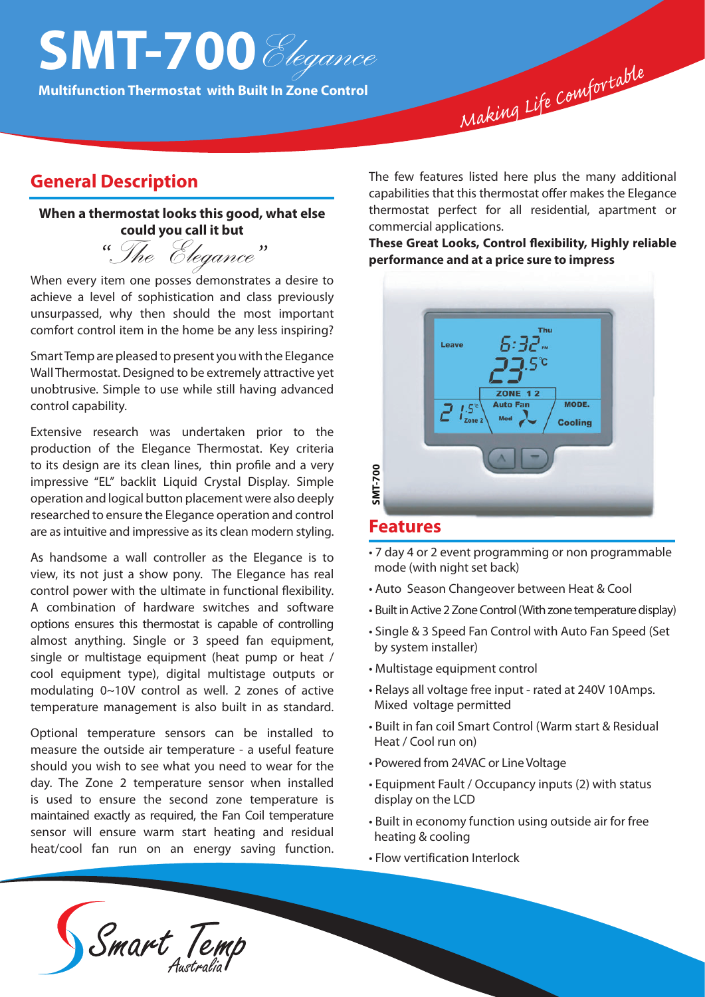# **SMT-700** Elegance

**Multifunction Thermostat with Built In Zone Control**

#### The few features listed here plus the many additional capabilities that this thermostat offer makes the Elegance thermostat perfect for all residential, apartment or commercial applications.

*<sup>M</sup><sup>a</sup>kin<sup>g</sup> <sup>L</sup><sup>i</sup>f<sup>e</sup> <sup>C</sup>o<sup>m</sup>fort<sup>a</sup>bl<sup>e</sup>*

**These Great Looks, Control flexibility, Highly reliable performance and at a price sure to impress**



#### **Features**

- 7 day 4 or 2 event programming or non programmable mode (with night set back)
- Auto Season Changeover between Heat & Cool
- Built in Active 2 Zone Control (With zone temperature display)
- Single & 3 Speed Fan Control with Auto Fan Speed (Set by system installer)
- Multistage equipment control
- Relays all voltage free input rated at 240V 10Amps. Mixed voltage permitted
- Built in fan coil Smart Control (Warm start & Residual Heat / Cool run on)
- Powered from 24VAC or Line Voltage
- Equipment Fault / Occupancy inputs (2) with status display on the LCD
- Built in economy function using outside air for free heating & cooling
- Flow vertification Interlock

Smart Temp

### **When a thermostat looks this good, what else could you call it but**

**General Description**

*"*The Elegance*"*

When every item one posses demonstrates a desire to achieve a level of sophistication and class previously unsurpassed, why then should the most important comfort control item in the home be any less inspiring?

Smart Temp are pleased to present you with the Elegance Wall Thermostat. Designed to be extremely attractive yet unobtrusive. Simple to use while still having advanced control capability.

Extensive research was undertaken prior to the production of the Elegance Thermostat. Key criteria to its design are its clean lines, thin profile and a very impressive "EL" backlit Liquid Crystal Display. Simple operation and logical button placement were also deeply researched to ensure the Elegance operation and control are as intuitive and impressive as its clean modern styling.

As handsome a wall controller as the Elegance is to view, its not just a show pony. The Elegance has real control power with the ultimate in functional flexibility. A combination of hardware switches and software options ensures this thermostat is capable of controlling almost anything. Single or 3 speed fan equipment, single or multistage equipment (heat pump or heat / cool equipment type), digital multistage outputs or modulating 0~10V control as well. 2 zones of active temperature management is also built in as standard.

Optional temperature sensors can be installed to measure the outside air temperature - a useful feature should you wish to see what you need to wear for the day. The Zone 2 temperature sensor when installed is used to ensure the second zone temperature is maintained exactly as required, the Fan Coil temperature sensor will ensure warm start heating and residual heat/cool fan run on an energy saving function.